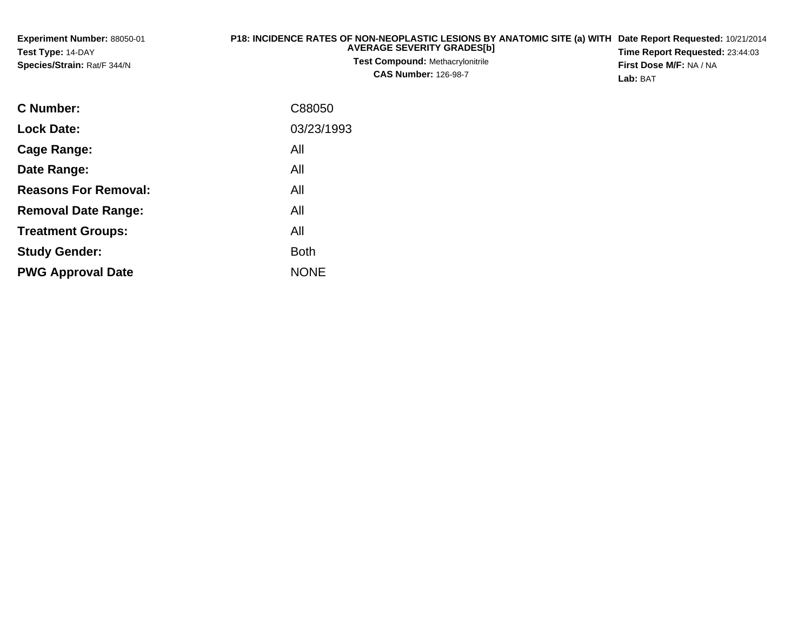| <b>Experiment Number: 88050-01</b> | P18: INCIDENCE RATES OF NON-NEOPLASTIC LESIONS BY ANATOMIC SITE (a) WITH Date Report Requested: 10/21/2014 |                                        |
|------------------------------------|------------------------------------------------------------------------------------------------------------|----------------------------------------|
| Test Type: 14-DAY                  | <b>AVERAGE SEVERITY GRADES[b]</b>                                                                          | <b>Time Report Requested: 23:44:03</b> |
| Species/Strain: Rat/F 344/N        | <b>Test Compound: Methacrylonitrile</b>                                                                    | <b>First Dose M/F: NA / NA</b>         |
|                                    | <b>CAS Number: 126-98-7</b>                                                                                | <b>Lab: BAT</b>                        |

| <b>C</b> Number:            | C88050      |
|-----------------------------|-------------|
| <b>Lock Date:</b>           | 03/23/1993  |
| Cage Range:                 | All         |
| Date Range:                 | All         |
| <b>Reasons For Removal:</b> | All         |
| <b>Removal Date Range:</b>  | All         |
| <b>Treatment Groups:</b>    | All         |
| <b>Study Gender:</b>        | <b>Both</b> |
| <b>PWG Approval Date</b>    | <b>NONE</b> |
|                             |             |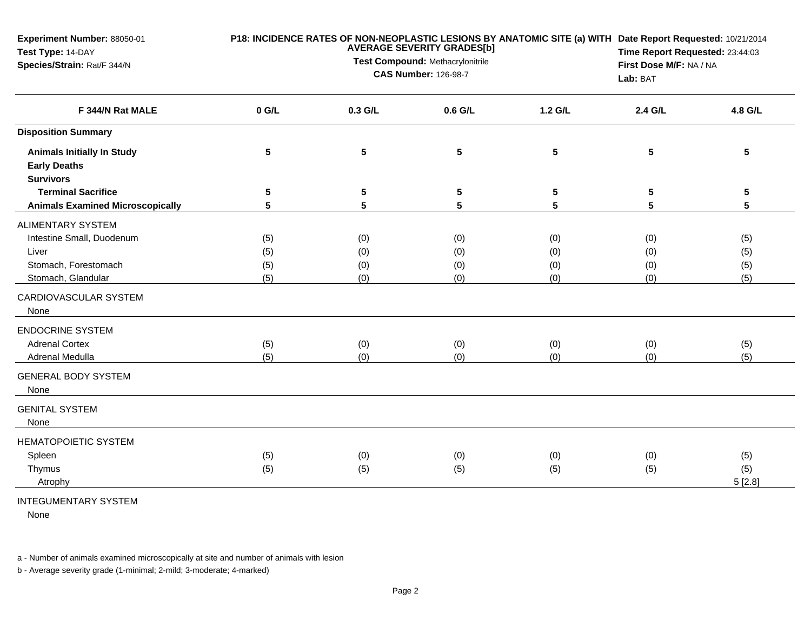| Experiment Number: 88050-01<br>Test Type: 14-DAY<br>Species/Strain: Rat/F 344/N        |                   | <b>AVERAGE SEVERITY GRADES[b]</b><br>Test Compound: Methacrylonitrile<br><b>CAS Number: 126-98-7</b> | P18: INCIDENCE RATES OF NON-NEOPLASTIC LESIONS BY ANATOMIC SITE (a) WITH Date Report Requested: 10/21/2014<br>Time Report Requested: 23:44:03<br>First Dose M/F: NA / NA<br>Lab: BAT |                   |                   |                      |
|----------------------------------------------------------------------------------------|-------------------|------------------------------------------------------------------------------------------------------|--------------------------------------------------------------------------------------------------------------------------------------------------------------------------------------|-------------------|-------------------|----------------------|
| F 344/N Rat MALE                                                                       | $0$ G/L           | 0.3 G/L                                                                                              | 0.6 G/L                                                                                                                                                                              | 1.2 G/L           | 2.4 G/L           | 4.8 G/L              |
| <b>Disposition Summary</b>                                                             |                   |                                                                                                      |                                                                                                                                                                                      |                   |                   |                      |
| <b>Animals Initially In Study</b><br><b>Early Deaths</b><br><b>Survivors</b>           | $5\phantom{.0}$   | 5                                                                                                    | 5                                                                                                                                                                                    | $\sqrt{5}$        | ${\bf 5}$         | $5\phantom{.0}$      |
| <b>Terminal Sacrifice</b>                                                              | 5                 | 5                                                                                                    | 5                                                                                                                                                                                    | 5                 | 5                 | 5                    |
| <b>Animals Examined Microscopically</b>                                                | 5                 | 5                                                                                                    | 5                                                                                                                                                                                    | 5                 | 5                 | 5                    |
| <b>ALIMENTARY SYSTEM</b><br>Intestine Small, Duodenum<br>Liver<br>Stomach, Forestomach | (5)<br>(5)<br>(5) | (0)<br>(0)<br>(0)                                                                                    | (0)<br>(0)<br>(0)                                                                                                                                                                    | (0)<br>(0)<br>(0) | (0)<br>(0)<br>(0) | (5)<br>(5)<br>(5)    |
| Stomach, Glandular<br>CARDIOVASCULAR SYSTEM<br>None                                    | (5)               | (0)                                                                                                  | (0)                                                                                                                                                                                  | (0)               | (0)               | (5)                  |
| <b>ENDOCRINE SYSTEM</b><br><b>Adrenal Cortex</b><br>Adrenal Medulla                    | (5)<br>(5)        | (0)<br>(0)                                                                                           | (0)<br>(0)                                                                                                                                                                           | (0)<br>(0)        | (0)<br>(0)        | (5)<br>(5)           |
| <b>GENERAL BODY SYSTEM</b><br>None                                                     |                   |                                                                                                      |                                                                                                                                                                                      |                   |                   |                      |
| <b>GENITAL SYSTEM</b><br>None                                                          |                   |                                                                                                      |                                                                                                                                                                                      |                   |                   |                      |
| <b>HEMATOPOIETIC SYSTEM</b><br>Spleen<br>Thymus<br>Atrophy                             | (5)<br>(5)        | (0)<br>(5)                                                                                           | (0)<br>(5)                                                                                                                                                                           | (0)<br>(5)        | (0)<br>(5)        | (5)<br>(5)<br>5[2.8] |

## INTEGUMENTARY SYSTEM

None

a - Number of animals examined microscopically at site and number of animals with lesion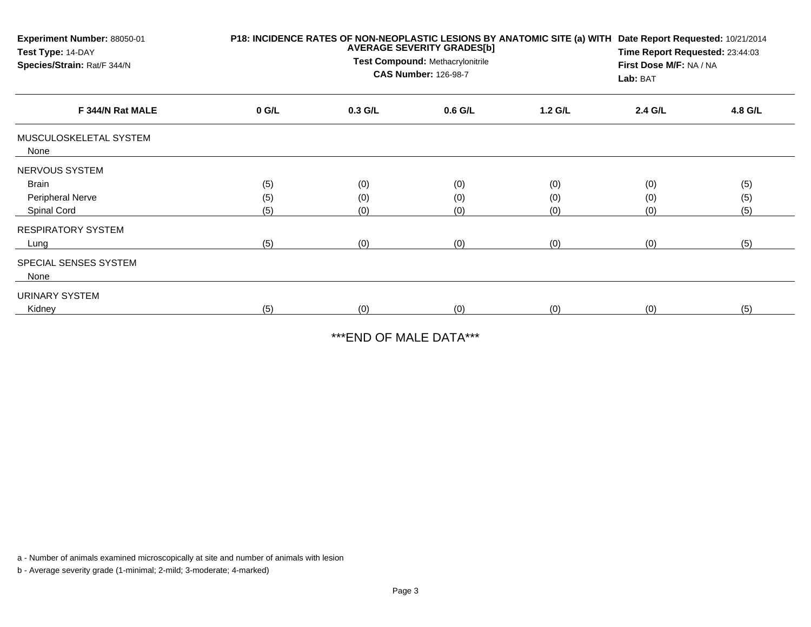| Experiment Number: 88050-01<br>Test Type: 14-DAY<br>Species/Strain: Rat/F 344/N | P18: INCIDENCE RATES OF NON-NEOPLASTIC LESIONS BY ANATOMIC SITE (a) WITH<br><b>AVERAGE SEVERITY GRADES[b]</b><br>Test Compound: Methacrylonitrile<br><b>CAS Number: 126-98-7</b> |           |         |         | Date Report Requested: 10/21/2014<br>Time Report Requested: 23:44:03<br>First Dose M/F: NA / NA<br>Lab: BAT |         |  |
|---------------------------------------------------------------------------------|----------------------------------------------------------------------------------------------------------------------------------------------------------------------------------|-----------|---------|---------|-------------------------------------------------------------------------------------------------------------|---------|--|
| F 344/N Rat MALE                                                                | $0$ G/L                                                                                                                                                                          | $0.3$ G/L | 0.6 G/L | 1.2 G/L | 2.4 G/L                                                                                                     | 4.8 G/L |  |
| MUSCULOSKELETAL SYSTEM<br>None                                                  |                                                                                                                                                                                  |           |         |         |                                                                                                             |         |  |
| NERVOUS SYSTEM                                                                  |                                                                                                                                                                                  |           |         |         |                                                                                                             |         |  |
| Brain                                                                           | (5)                                                                                                                                                                              | (0)       | (0)     | (0)     | (0)                                                                                                         | (5)     |  |
| Peripheral Nerve                                                                | (5)                                                                                                                                                                              | (0)       | (0)     | (0)     | (0)                                                                                                         | (5)     |  |
| Spinal Cord                                                                     | (5)                                                                                                                                                                              | (0)       | (0)     | (0)     | (0)                                                                                                         | (5)     |  |
| <b>RESPIRATORY SYSTEM</b>                                                       |                                                                                                                                                                                  |           |         |         |                                                                                                             |         |  |
| Lung                                                                            | (5)                                                                                                                                                                              | (0)       | (0)     | (0)     | (0)                                                                                                         | (5)     |  |
| SPECIAL SENSES SYSTEM<br>None                                                   |                                                                                                                                                                                  |           |         |         |                                                                                                             |         |  |
| URINARY SYSTEM                                                                  |                                                                                                                                                                                  |           |         |         |                                                                                                             |         |  |
| Kidney                                                                          | (5)                                                                                                                                                                              | (0)       | (0)     | (0)     | (0)                                                                                                         | (5)     |  |

\*\*\*END OF MALE DATA\*\*\*

a - Number of animals examined microscopically at site and number of animals with lesion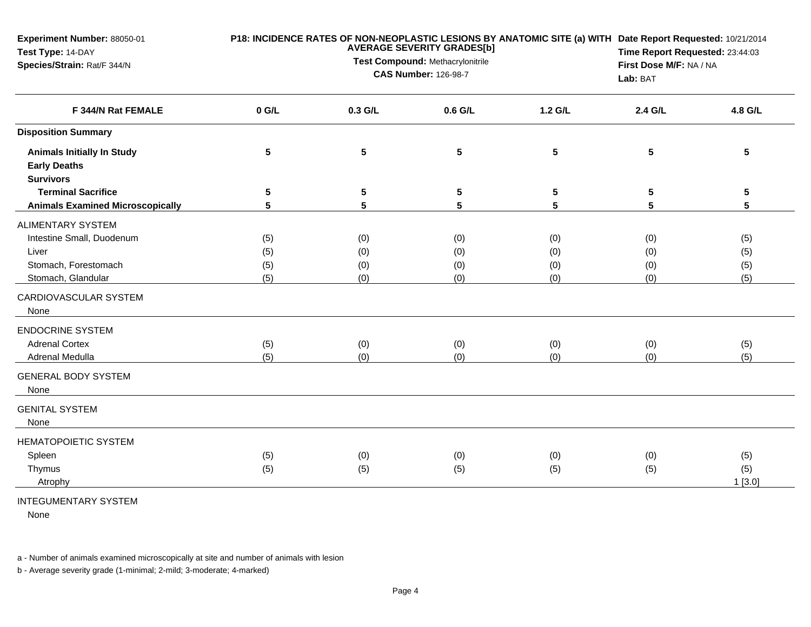| Experiment Number: 88050-01<br>Test Type: 14-DAY<br>Species/Strain: Rat/F 344/N                                                                                                                                      |                                        | <b>AVERAGE SEVERITY GRADES[b]</b><br>Test Compound: Methacrylonitrile<br><b>CAS Number: 126-98-7</b> | P18: INCIDENCE RATES OF NON-NEOPLASTIC LESIONS BY ANATOMIC SITE (a) WITH Date Report Requested: 10/21/2014<br>Time Report Requested: 23:44:03<br>First Dose M/F: NA / NA<br>Lab: BAT |                                        |                                        |                                        |
|----------------------------------------------------------------------------------------------------------------------------------------------------------------------------------------------------------------------|----------------------------------------|------------------------------------------------------------------------------------------------------|--------------------------------------------------------------------------------------------------------------------------------------------------------------------------------------|----------------------------------------|----------------------------------------|----------------------------------------|
| F 344/N Rat FEMALE                                                                                                                                                                                                   | $0$ G/L                                | 0.3 G/L                                                                                              | 0.6 G/L                                                                                                                                                                              | 1.2 G/L                                | 2.4 G/L                                | 4.8 G/L                                |
| <b>Disposition Summary</b>                                                                                                                                                                                           |                                        |                                                                                                      |                                                                                                                                                                                      |                                        |                                        |                                        |
| <b>Animals Initially In Study</b><br><b>Early Deaths</b><br><b>Survivors</b>                                                                                                                                         | 5                                      | 5                                                                                                    | 5                                                                                                                                                                                    | $\sqrt{5}$                             | ${\bf 5}$                              | $5\phantom{.0}$                        |
| <b>Terminal Sacrifice</b>                                                                                                                                                                                            | 5                                      | 5                                                                                                    | 5                                                                                                                                                                                    | 5                                      | 5                                      | 5                                      |
| <b>Animals Examined Microscopically</b>                                                                                                                                                                              | 5                                      | 5                                                                                                    | 5                                                                                                                                                                                    | 5                                      | 5                                      | 5                                      |
| <b>ALIMENTARY SYSTEM</b><br>Intestine Small, Duodenum<br>Liver<br>Stomach, Forestomach<br>Stomach, Glandular<br>CARDIOVASCULAR SYSTEM<br>None<br><b>ENDOCRINE SYSTEM</b><br><b>Adrenal Cortex</b><br>Adrenal Medulla | (5)<br>(5)<br>(5)<br>(5)<br>(5)<br>(5) | (0)<br>(0)<br>(0)<br>(0)<br>(0)<br>(0)                                                               | (0)<br>(0)<br>(0)<br>(0)<br>(0)<br>(0)                                                                                                                                               | (0)<br>(0)<br>(0)<br>(0)<br>(0)<br>(0) | (0)<br>(0)<br>(0)<br>(0)<br>(0)<br>(0) | (5)<br>(5)<br>(5)<br>(5)<br>(5)<br>(5) |
| <b>GENERAL BODY SYSTEM</b><br>None                                                                                                                                                                                   |                                        |                                                                                                      |                                                                                                                                                                                      |                                        |                                        |                                        |
| <b>GENITAL SYSTEM</b><br>None                                                                                                                                                                                        |                                        |                                                                                                      |                                                                                                                                                                                      |                                        |                                        |                                        |
| <b>HEMATOPOIETIC SYSTEM</b><br>Spleen<br>Thymus<br>Atrophy                                                                                                                                                           | (5)<br>(5)                             | (0)<br>(5)                                                                                           | (0)<br>(5)                                                                                                                                                                           | (0)<br>(5)                             | (0)<br>(5)                             | (5)<br>(5)<br>1[3.0]                   |

## INTEGUMENTARY SYSTEM

None

a - Number of animals examined microscopically at site and number of animals with lesion